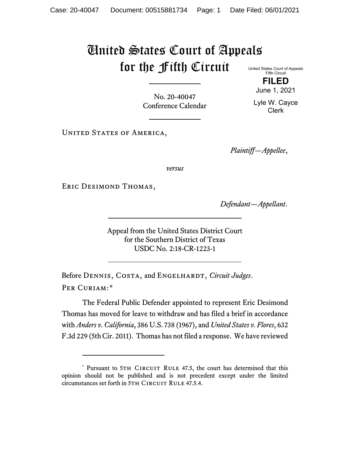## United States Court of Appeals for the Fifth Circuit United States Court of Appeals

Fifth Circuit **FILED**

No. 20-40047 Conference Calendar

June 1, 2021 Lyle W. Cayce Clerk

UNITED STATES OF AMERICA,

*Plaintiff—Appellee*,

*versus*

Eric Desimond Thomas,

*Defendant—Appellant*.

Appeal from the United States District Court for the Southern District of Texas USDC No. 2:18-CR-1223-1

Before DENNIS, COSTA, and ENGELHARDT, *Circuit Judges*. Per Curiam:[\\*](#page-0-0)

The Federal Public Defender appointed to represent Eric Desimond Thomas has moved for leave to withdraw and has filed a brief in accordance with *Anders v. California*, 386 U.S. 738 (1967), and *United States v. Flores*, 632 F.3d 229 (5th Cir. 2011). Thomas has not filed a response. We have reviewed

<span id="page-0-0"></span><sup>\*</sup> Pursuant to 5TH CIRCUIT RULE 47.5, the court has determined that this opinion should not be published and is not precedent except under the limited circumstances set forth in 5TH CIRCUIT RULE 47.5.4.